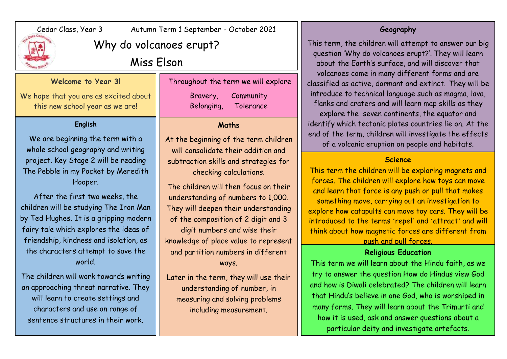

# Cedar Class, Year 3 Autumn Term 1 September - October 2021

# Why do volcanoes erupt?

# Miss Elson

### **Welcome to Year 3!**

We hope that you are as excited about this new school year as we are!

## **English**

We are beginning the term with a whole school geography and writing project. Key Stage 2 will be reading The Pebble in my Pocket by Meredith Hooper.

After the first two weeks, the children will be studying The Iron Man by Ted Hughes. It is a gripping modern fairy tale which explores the ideas of friendship, kindness and isolation, as the characters attempt to save the world.

The children will work towards writing an approaching threat narrative. They will learn to create settings and characters and use an range of sentence structures in their work.

Throughout the term we will explore Bravery, Community Belonging, Tolerance

## **Maths**

At the beginning of the term children will consolidate their addition and subtraction skills and strategies for checking calculations.

The children will then focus on their understanding of numbers to 1,000. They will deepen their understanding of the composition of 2 digit and 3 digit numbers and wise their knowledge of place value to represent and partition numbers in different ways.

Later in the term, they will use their understanding of number, in measuring and solving problems including measurement.

## **Geography**

This term, the children will attempt to answer our big question 'Why do volcanoes erupt?'. They will learn about the Earth's surface, and will discover that volcanoes come in many different forms and are classified as active, dormant and extinct. They will be introduce to technical language such as magma, lava, flanks and craters and will learn map skills as they explore the seven continents, the equator and identify which tectonic plates countries lie on. At the end of the term, children will investigate the effects of a volcanic eruption on people and habitats.

#### **Science**

This term the children will be exploring magnets and forces. The children will explore how toys can move and learn that force is any push or pull that makes something move, carrying out an investigation to explore how catapults can move toy cars. They will be introduced to the terms ʻrepel' and ʻattract' and will think about how magnetic forces are different from

# push and pull forces.

## **Religious Education**

This term we will learn about the Hindu faith, as we try to answer the question How do Hindus view God and how is Diwali celebrated? The children will learn that Hindu's believe in one God, who is worshiped in many forms. They will learn about the Trimurti and how it is used, ask and answer questions about a particular deity and investigate artefacts.